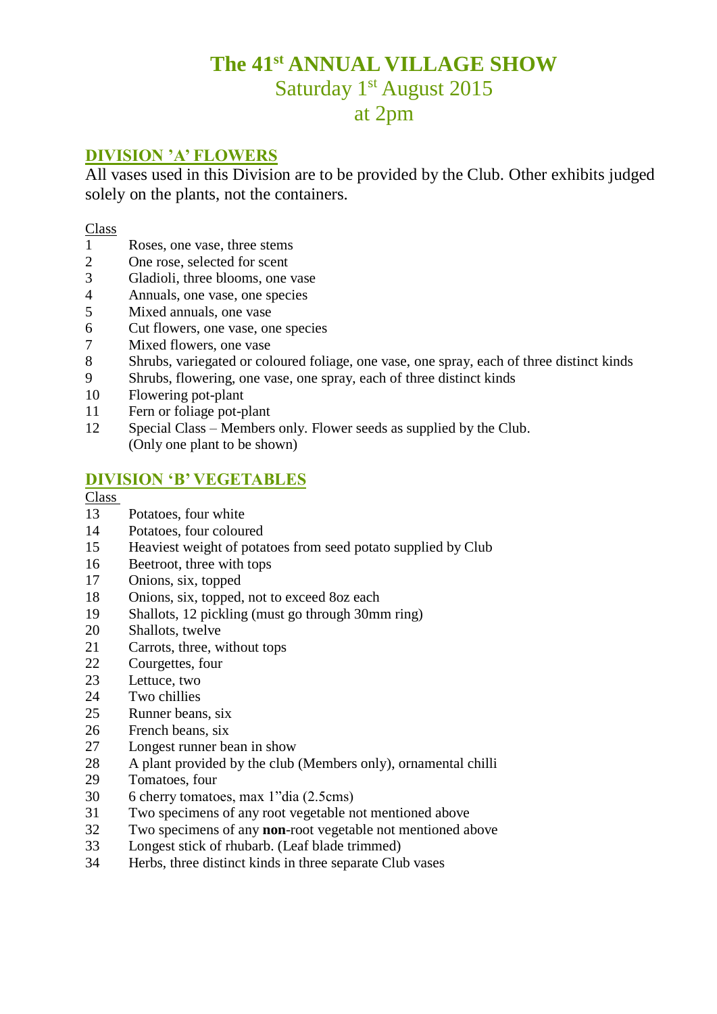# **The 41st ANNUAL VILLAGE SHOW** Saturday 1<sup>st</sup> August 2015 at 2pm

# **DIVISION 'A' FLOWERS**

All vases used in this Division are to be provided by the Club. Other exhibits judged solely on the plants, not the containers.

#### Class

- Roses, one vase, three stems
- One rose, selected for scent
- Gladioli, three blooms, one vase
- Annuals, one vase, one species
- Mixed annuals, one vase
- Cut flowers, one vase, one species
- Mixed flowers, one vase
- Shrubs, variegated or coloured foliage, one vase, one spray, each of three distinct kinds
- Shrubs, flowering, one vase, one spray, each of three distinct kinds
- Flowering pot-plant
- Fern or foliage pot-plant
- Special Class Members only. Flower seeds as supplied by the Club. (Only one plant to be shown)

### **DIVISION 'B' VEGETABLES**

#### Class

- Potatoes, four white
- Potatoes, four coloured
- Heaviest weight of potatoes from seed potato supplied by Club
- Beetroot, three with tops
- Onions, six, topped
- Onions, six, topped, not to exceed 8oz each
- Shallots, 12 pickling (must go through 30mm ring)
- Shallots, twelve
- Carrots, three, without tops
- Courgettes, four
- Lettuce, two
- Two chillies
- Runner beans, six
- French beans, six
- Longest runner bean in show
- A plant provided by the club (Members only), ornamental chilli
- Tomatoes, four
- 6 cherry tomatoes, max 1"dia (2.5cms)
- Two specimens of any root vegetable not mentioned above
- Two specimens of any **non**-root vegetable not mentioned above
- Longest stick of rhubarb. (Leaf blade trimmed)
- Herbs, three distinct kinds in three separate Club vases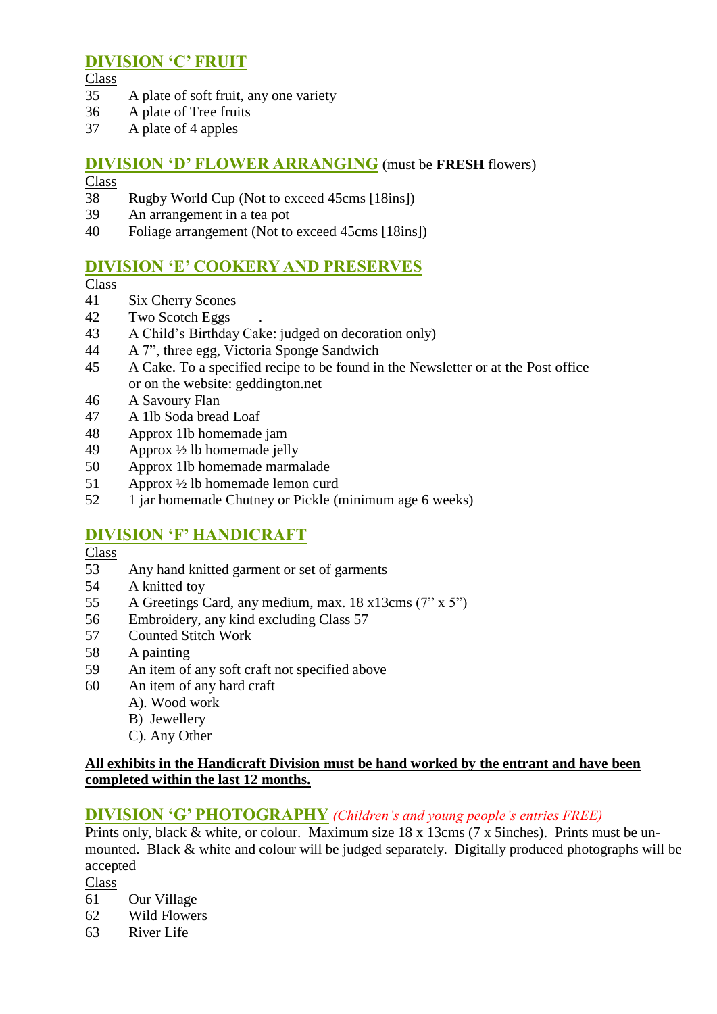# **DIVISION 'C' FRUIT**

Class

- A plate of soft fruit, any one variety
- A plate of Tree fruits
- A plate of 4 apples

# **DIVISION 'D' FLOWER ARRANGING** (must be **FRESH** flowers)

## Class

- Rugby World Cup (Not to exceed 45cms [18ins])
- An arrangement in a tea pot
- Foliage arrangement (Not to exceed 45cms [18ins])

# **DIVISION 'E' COOKERY AND PRESERVES**

#### Class

- Six Cherry Scones
- Two Scotch Eggs .
- A Child's Birthday Cake: judged on decoration only)
- A 7", three egg, Victoria Sponge Sandwich
- A Cake. To a specified recipe to be found in the Newsletter or at the Post office or on the website: geddington.net
- A Savoury Flan
- A 1lb Soda bread Loaf
- Approx 1lb homemade jam
- Approx ½ lb homemade jelly
- Approx 1lb homemade marmalade
- Approx ½ lb homemade lemon curd
- 1 jar homemade Chutney or Pickle (minimum age 6 weeks)

# **DIVISION 'F' HANDICRAFT**

- Class
- Any hand knitted garment or set of garments
- A knitted toy
- A Greetings Card, any medium, max. 18 x13cms (7" x 5")
- Embroidery, any kind excluding Class 57
- Counted Stitch Work
- A painting
- An item of any soft craft not specified above
- An item of any hard craft
	- A). Wood work
	- B) Jewellery
	- C). Any Other

#### **All exhibits in the Handicraft Division must be hand worked by the entrant and have been completed within the last 12 months.**

### **DIVISION 'G' PHOTOGRAPHY** *(Children's and young people's entries FREE)*

Prints only, black & white, or colour. Maximum size 18 x 13cms (7 x 5inches). Prints must be unmounted. Black & white and colour will be judged separately. Digitally produced photographs will be accepted

Class

- Our Village
- Wild Flowers
- River Life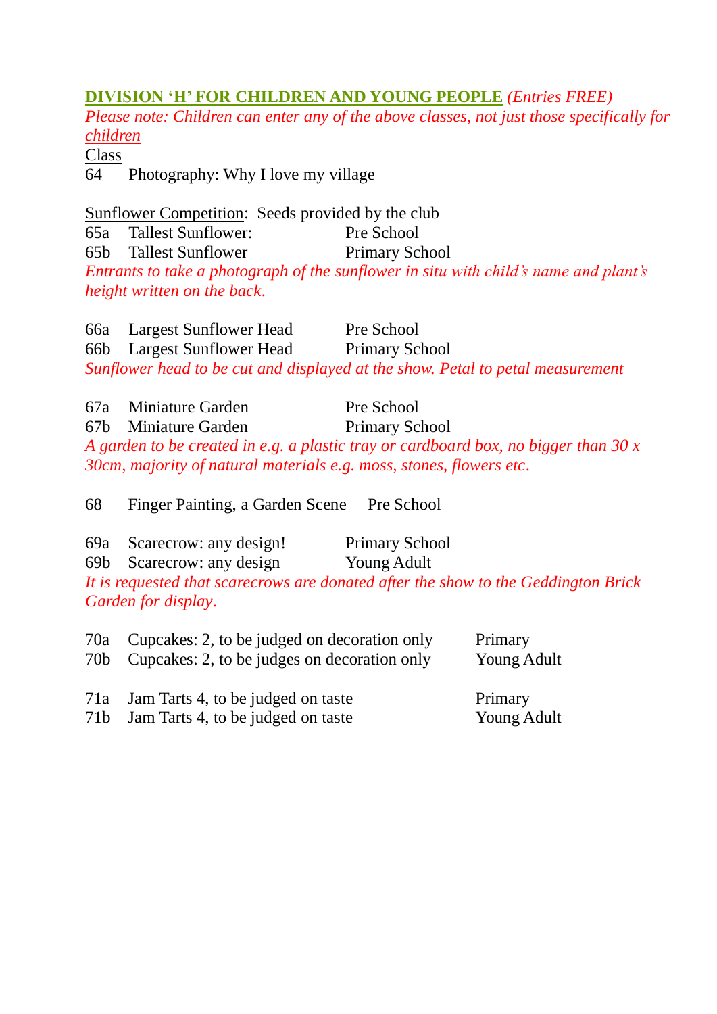# **DIVISION 'H' FOR CHILDREN AND YOUNG PEOPLE** *(Entries FREE)*

*Please note: Children can enter any of the above classes, not just those specifically for children*

**Class** 

64 Photography: Why I love my village

Sunflower Competition: Seeds provided by the club 65a Tallest Sunflower: Pre School 65b Tallest Sunflower Primary School *Entrants to take a photograph of the sunflower in situ with child's name and plant's height written on the back*.

66a Largest Sunflower Head Pre School 66b Largest Sunflower Head Primary School *Sunflower head to be cut and displayed at the show. Petal to petal measurement*

| 67a Miniature Garden                                                | Pre School                                                                          |
|---------------------------------------------------------------------|-------------------------------------------------------------------------------------|
| 67b Miniature Garden                                                | <b>Primary School</b>                                                               |
|                                                                     | A garden to be created in e.g. a plastic tray or cardboard box, no bigger than 30 x |
| 30cm, majority of natural materials e.g. moss, stones, flowers etc. |                                                                                     |

68 Finger Painting, a Garden Scene Pre School

- 69a Scarecrow: any design! Primary School
- 69b Scarecrow: any design Young Adult

*It is requested that scarecrows are donated after the show to the Geddington Brick Garden for display*.

| 70a Cupcakes: 2, to be judged on decoration only<br>70b Cupcakes: 2, to be judges on decoration only | Primary<br>Young Adult |
|------------------------------------------------------------------------------------------------------|------------------------|
| <b>71. I</b> . <b>T</b> <i>A</i> <b><i>A A A</i> 1. 1. 1. 1. 1. 1.</b>                               |                        |

- 71a Jam Tarts 4, to be judged on taste Primary
- 71b Jam Tarts 4, to be judged on taste Young Adult